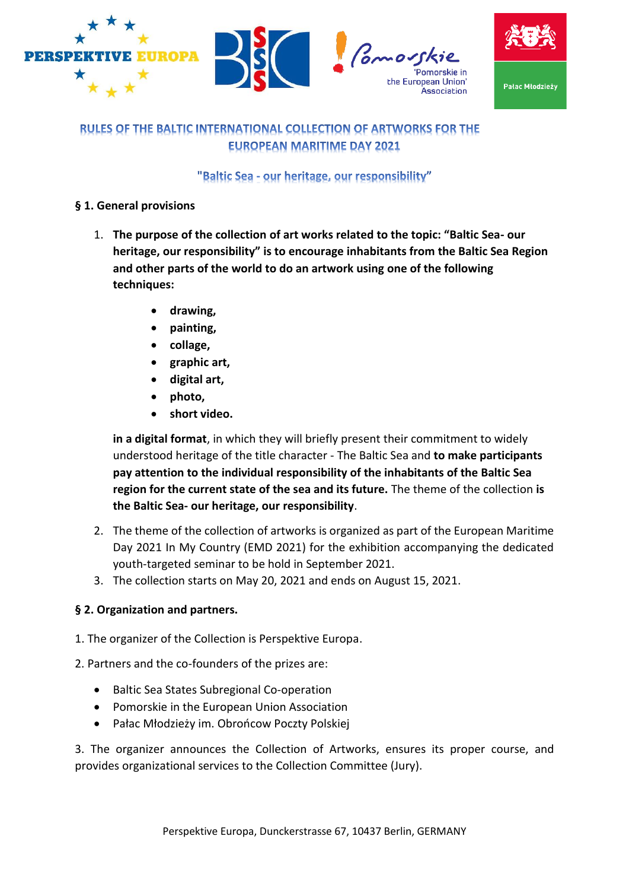



# **RULES OF THE BALTIC INTERNATIONAL COLLECTION OF ARTWORKS FOR THE EUROPEAN MARITIME DAY 2021**

### "Baltic Sea - our heritage, our responsibility"

#### **§ 1. General provisions**

- 1. **The purpose of the collection of art works related to the topic: "Baltic Sea- our heritage, our responsibility" is to encourage inhabitants from the Baltic Sea Region and other parts of the world to do an artwork using one of the following techniques:**
	- **drawing,**
	- **painting,**
	- **collage,**
	- **graphic art,**
	- **digital art,**
	- **photo,**
	- **short video.**

**in a digital format**, in which they will briefly present their commitment to widely understood heritage of the title character - The Baltic Sea and **to make participants pay attention to the individual responsibility of the inhabitants of the Baltic Sea region for the current state of the sea and its future.** The theme of the collection **is the Baltic Sea- our heritage, our responsibility**.

- 2. The theme of the collection of artworks is organized as part of the European Maritime Day 2021 In My Country (EMD 2021) for the exhibition accompanying the dedicated youth-targeted seminar to be hold in September 2021.
- 3. The collection starts on May 20, 2021 and ends on August 15, 2021.

#### **§ 2. Organization and partners.**

- 1. The organizer of the Collection is Perspektive Europa.
- 2. Partners and the co-founders of the prizes are:
	- Baltic Sea States Subregional Co-operation
	- Pomorskie in the European Union Association
	- Pałac Młodzieży im. Obrońcow Poczty Polskiej

3. The organizer announces the Collection of Artworks, ensures its proper course, and provides organizational services to the Collection Committee (Jury).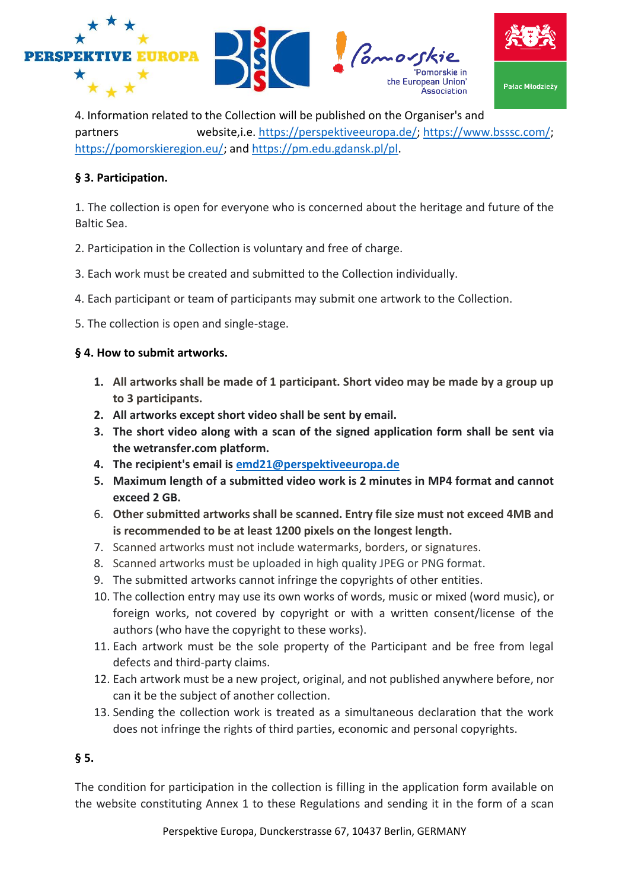





4. Information related to the Collection will be published on the Organiser's and partners website,i.e. [https://perspektiveeuropa.de/;](https://perspektiveeuropa.de/) [https://www.bsssc.com/;](https://www.bsssc.com/) [https://pomorskieregion.eu/;](https://pomorskieregion.eu/) and [https://pm.edu.gdansk.pl/pl.](https://pm.edu.gdansk.pl/pl)

#### **§ 3. Participation.**

1. The collection is open for everyone who is concerned about the heritage and future of the Baltic Sea.

- 2. Participation in the Collection is voluntary and free of charge.
- 3. Each work must be created and submitted to the Collection individually.
- 4. Each participant or team of participants may submit one artwork to the Collection.

5. The collection is open and single-stage.

### **§ 4. How to submit artworks.**

- **1. All artworks shall be made of 1 participant. Short video may be made by a group up to 3 participants.**
- **2. All artworks except short video shall be sent by email.**
- **3. The short video along with a scan of the signed application form shall be sent via the wetransfer.com platform.**
- **4. The recipient's email is [emd21@perspektiveeuropa.de](mailto:emd21@perspektiveeuropa.de)**
- **5. Maximum length of a submitted video work is 2 minutes in MP4 format and cannot exceed 2 GB.**
- 6. **Other submitted artworks shall be scanned. Entry file size must not exceed 4MB and is recommended to be at least 1200 pixels on the longest length.**
- 7. Scanned artworks must not include watermarks, borders, or signatures.
- 8. Scanned artworks must be uploaded in high quality JPEG or PNG format.
- 9. The submitted artworks cannot infringe the copyrights of other entities.
- 10. The collection entry may use its own works of words, music or mixed (word music), or foreign works, not covered by copyright or with a written consent/license of the authors (who have the copyright to these works).
- 11. Each artwork must be the sole property of the Participant and be free from legal defects and third-party claims.
- 12. Each artwork must be a new project, original, and not published anywhere before, nor can it be the subject of another collection.
- 13. Sending the collection work is treated as a simultaneous declaration that the work does not infringe the rights of third parties, economic and personal copyrights.

### **§ 5.**

The condition for participation in the collection is filling in the application form available on the website constituting Annex 1 to these Regulations and sending it in the form of a scan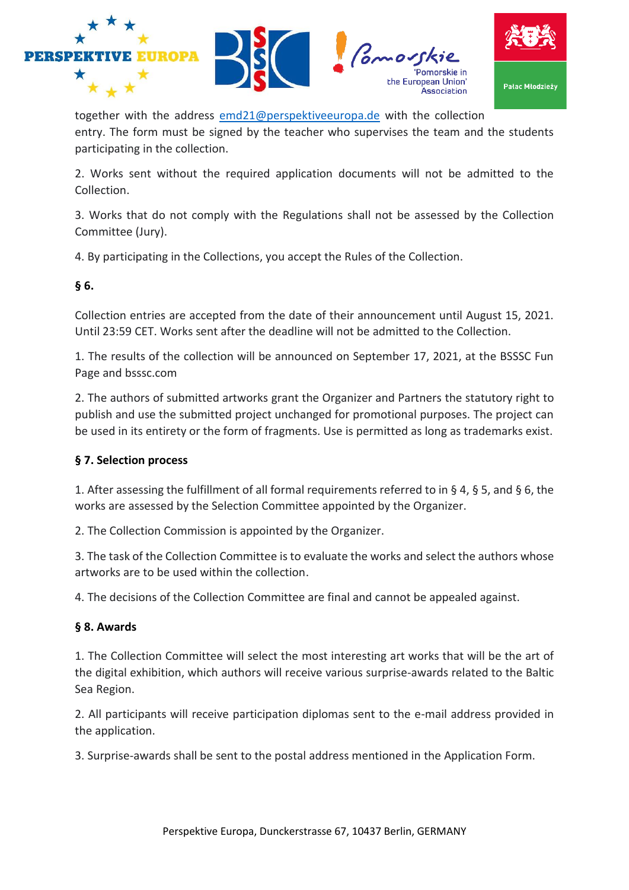







together with the address [emd21@perspektiveeuropa.de](mailto:emd21@perspektiveeuropa.de) with the collection entry. The form must be signed by the teacher who supervises the team and the students participating in the collection.

2. Works sent without the required application documents will not be admitted to the Collection.

3. Works that do not comply with the Regulations shall not be assessed by the Collection Committee (Jury).

4. By participating in the Collections, you accept the Rules of the Collection.

## **§ 6.**

Collection entries are accepted from the date of their announcement until August 15, 2021. Until 23:59 CET. Works sent after the deadline will not be admitted to the Collection.

1. The results of the collection will be announced on September 17, 2021, at the BSSSC Fun Page and bsssc.com

2. The authors of submitted artworks grant the Organizer and Partners the statutory right to publish and use the submitted project unchanged for promotional purposes. The project can be used in its entirety or the form of fragments. Use is permitted as long as trademarks exist.

# **§ 7. Selection process**

1. After assessing the fulfillment of all formal requirements referred to in § 4, § 5, and § 6, the works are assessed by the Selection Committee appointed by the Organizer.

2. The Collection Commission is appointed by the Organizer.

3. The task of the Collection Committee is to evaluate the works and select the authors whose artworks are to be used within the collection.

4. The decisions of the Collection Committee are final and cannot be appealed against.

### **§ 8. Awards**

1. The Collection Committee will select the most interesting art works that will be the art of the digital exhibition, which authors will receive various surprise-awards related to the Baltic Sea Region.

2. All participants will receive participation diplomas sent to the e-mail address provided in the application.

3. Surprise-awards shall be sent to the postal address mentioned in the Application Form.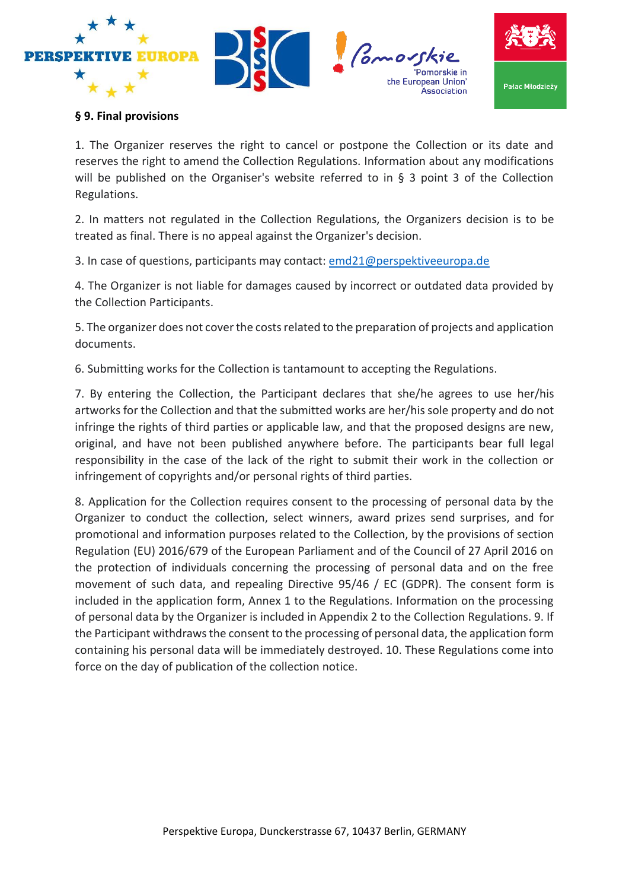





Pomorskie in

Acenciation

### **§ 9. Final provisions**

1. The Organizer reserves the right to cancel or postpone the Collection or its date and reserves the right to amend the Collection Regulations. Information about any modifications will be published on the Organiser's website referred to in § 3 point 3 of the Collection Regulations.

2. In matters not regulated in the Collection Regulations, the Organizers decision is to be treated as final. There is no appeal against the Organizer's decision.

3. In case of questions, participants may contact: [emd21@perspektiveeuropa.de](mailto:emd21@perspektiveeuropa.de)

4. The Organizer is not liable for damages caused by incorrect or outdated data provided by the Collection Participants.

5. The organizer does not cover the costs related to the preparation of projects and application documents.

6. Submitting works for the Collection is tantamount to accepting the Regulations.

7. By entering the Collection, the Participant declares that she/he agrees to use her/his artworks for the Collection and that the submitted works are her/his sole property and do not infringe the rights of third parties or applicable law, and that the proposed designs are new, original, and have not been published anywhere before. The participants bear full legal responsibility in the case of the lack of the right to submit their work in the collection or infringement of copyrights and/or personal rights of third parties.

8. Application for the Collection requires consent to the processing of personal data by the Organizer to conduct the collection, select winners, award prizes send surprises, and for promotional and information purposes related to the Collection, by the provisions of section Regulation (EU) 2016/679 of the European Parliament and of the Council of 27 April 2016 on the protection of individuals concerning the processing of personal data and on the free movement of such data, and repealing Directive 95/46 / EC (GDPR). The consent form is included in the application form, Annex 1 to the Regulations. Information on the processing of personal data by the Organizer is included in Appendix 2 to the Collection Regulations. 9. If the Participant withdraws the consent to the processing of personal data, the application form containing his personal data will be immediately destroyed. 10. These Regulations come into force on the day of publication of the collection notice.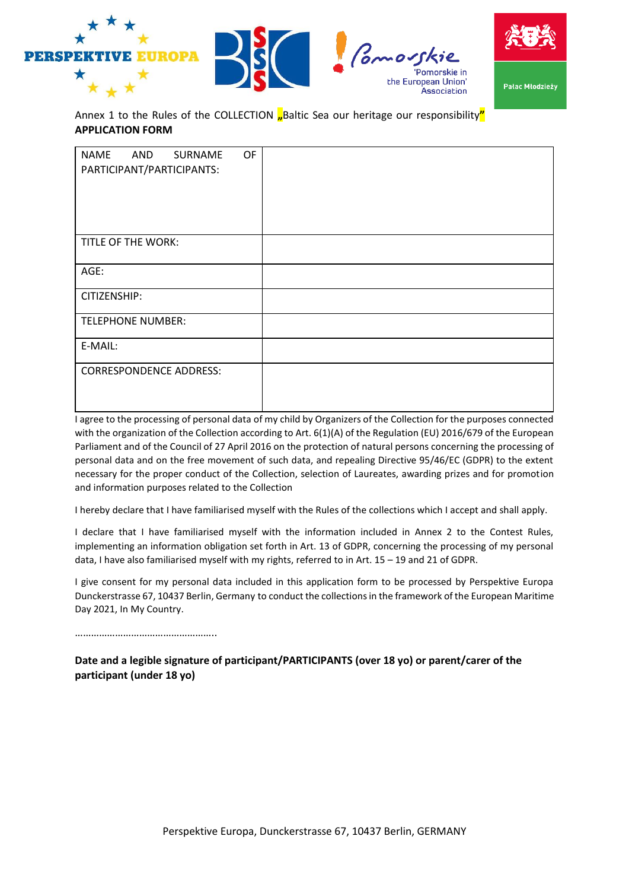





Annex 1 to the Rules of the COLLECTION **"**Baltic Sea our heritage our responsibility" **APPLICATION FORM**

| <b>NAME</b><br>OF<br>AND<br>SURNAME<br>PARTICIPANT/PARTICIPANTS: |  |
|------------------------------------------------------------------|--|
|                                                                  |  |
| TITLE OF THE WORK:                                               |  |
| AGE:                                                             |  |
| CITIZENSHIP:                                                     |  |
| <b>TELEPHONE NUMBER:</b>                                         |  |
| E-MAIL:                                                          |  |
| <b>CORRESPONDENCE ADDRESS:</b>                                   |  |

I agree to the processing of personal data of my child by Organizers of the Collection for the purposes connected with the organization of the Collection according to Art. 6(1)(A) of the Regulation (EU) 2016/679 of the European Parliament and of the Council of 27 April 2016 on the protection of natural persons concerning the processing of personal data and on the free movement of such data, and repealing Directive 95/46/EC (GDPR) to the extent necessary for the proper conduct of the Collection, selection of Laureates, awarding prizes and for promotion and information purposes related to the Collection

I hereby declare that I have familiarised myself with the Rules of the collections which I accept and shall apply.

I declare that I have familiarised myself with the information included in Annex 2 to the Contest Rules, implementing an information obligation set forth in Art. 13 of GDPR, concerning the processing of my personal data, I have also familiarised myself with my rights, referred to in Art. 15 – 19 and 21 of GDPR.

I give consent for my personal data included in this application form to be processed by Perspektive Europa Dunckerstrasse 67, 10437 Berlin, Germany to conduct the collections in the framework of the European Maritime Day 2021, In My Country.

…………………………………………………

**Date and a legible signature of participant/PARTICIPANTS (over 18 yo) or parent/carer of the participant (under 18 yo)**